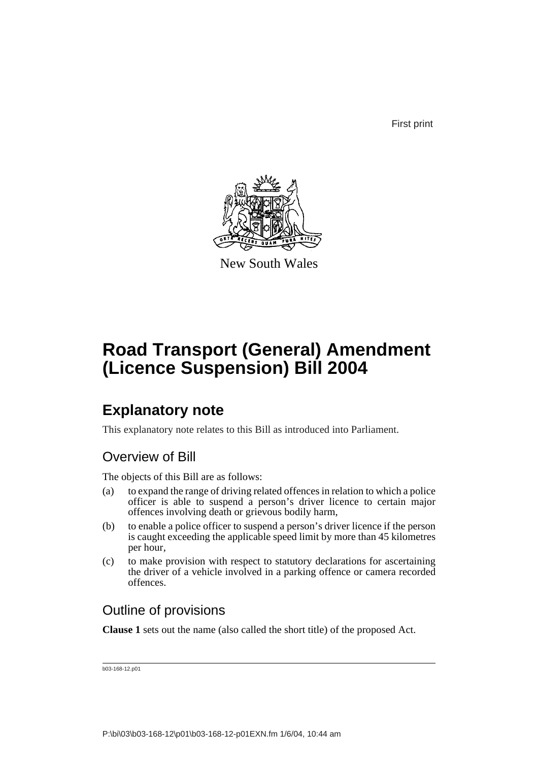First print



New South Wales

# **Road Transport (General) Amendment (Licence Suspension) Bill 2004**

## **Explanatory note**

This explanatory note relates to this Bill as introduced into Parliament.

## Overview of Bill

The objects of this Bill are as follows:

- (a) to expand the range of driving related offences in relation to which a police officer is able to suspend a person's driver licence to certain major offences involving death or grievous bodily harm,
- (b) to enable a police officer to suspend a person's driver licence if the person is caught exceeding the applicable speed limit by more than 45 kilometres per hour,
- (c) to make provision with respect to statutory declarations for ascertaining the driver of a vehicle involved in a parking offence or camera recorded offences.

## Outline of provisions

**Clause 1** sets out the name (also called the short title) of the proposed Act.

b03-168-12.p01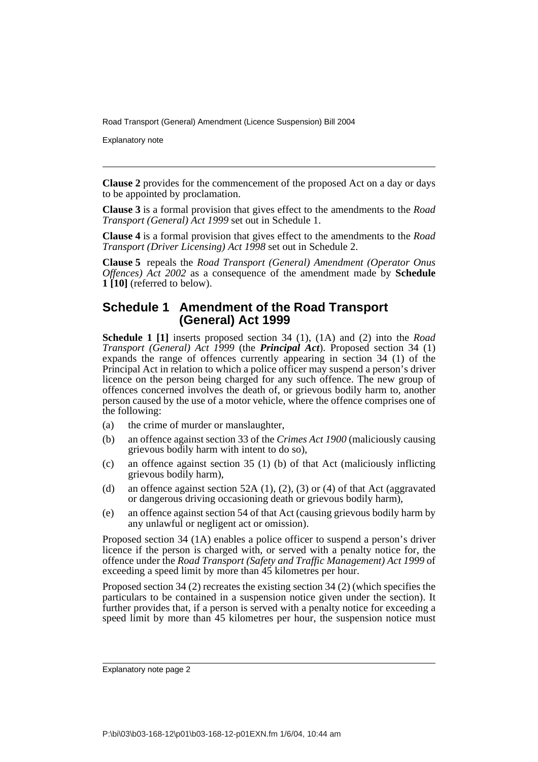Explanatory note

**Clause 2** provides for the commencement of the proposed Act on a day or days to be appointed by proclamation.

**Clause 3** is a formal provision that gives effect to the amendments to the *Road Transport (General) Act 1999* set out in Schedule 1.

**Clause 4** is a formal provision that gives effect to the amendments to the *Road Transport (Driver Licensing) Act 1998* set out in Schedule 2.

**Clause 5** repeals the *Road Transport (General) Amendment (Operator Onus Offences) Act 2002* as a consequence of the amendment made by **Schedule 1 [10]** (referred to below).

#### **Schedule 1 Amendment of the Road Transport (General) Act 1999**

**Schedule 1 [1]** inserts proposed section 34 (1), (1A) and (2) into the *Road Transport (General) Act 1999* (the *Principal Act*). Proposed section 34 (1) expands the range of offences currently appearing in section 34 (1) of the Principal Act in relation to which a police officer may suspend a person's driver licence on the person being charged for any such offence. The new group of offences concerned involves the death of, or grievous bodily harm to, another person caused by the use of a motor vehicle, where the offence comprises one of the following:

- (a) the crime of murder or manslaughter,
- (b) an offence against section 33 of the *Crimes Act 1900* (maliciously causing grievous bodily harm with intent to do so),
- (c) an offence against section 35 (1) (b) of that Act (maliciously inflicting grievous bodily harm),
- (d) an offence against section 52A (1), (2), (3) or (4) of that Act (aggravated or dangerous driving occasioning death or grievous bodily harm),
- (e) an offence against section 54 of that Act (causing grievous bodily harm by any unlawful or negligent act or omission).

Proposed section 34 (1A) enables a police officer to suspend a person's driver licence if the person is charged with, or served with a penalty notice for, the offence under the *Road Transport (Safety and Traffic Management) Act 1999* of exceeding a speed limit by more than 45 kilometres per hour.

Proposed section 34 (2) recreates the existing section 34 (2) (which specifies the particulars to be contained in a suspension notice given under the section). It further provides that, if a person is served with a penalty notice for exceeding a speed limit by more than 45 kilometres per hour, the suspension notice must

Explanatory note page 2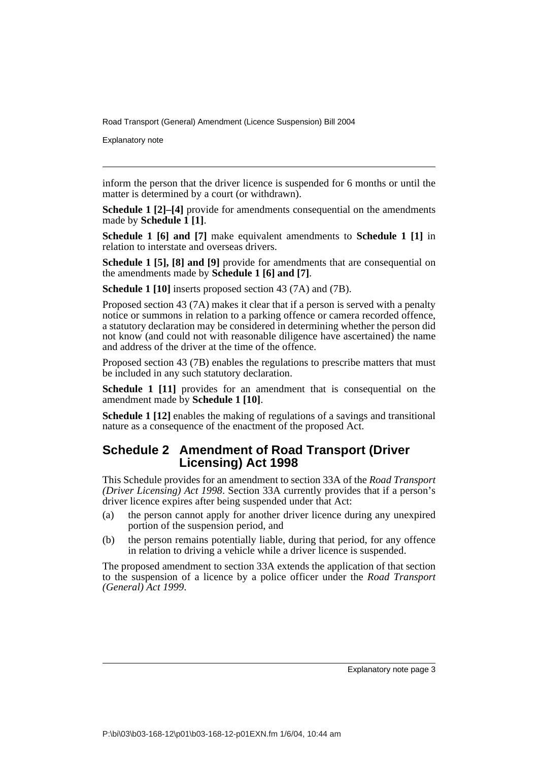Explanatory note

inform the person that the driver licence is suspended for 6 months or until the matter is determined by a court (or withdrawn).

**Schedule 1 [2]–[4]** provide for amendments consequential on the amendments made by **Schedule 1 [1]**.

**Schedule 1 [6] and [7]** make equivalent amendments to **Schedule 1 [1]** in relation to interstate and overseas drivers.

**Schedule 1 [5], [8] and [9]** provide for amendments that are consequential on the amendments made by **Schedule 1 [6] and [7]**.

**Schedule 1 [10]** inserts proposed section 43 (7A) and (7B).

Proposed section 43 (7A) makes it clear that if a person is served with a penalty notice or summons in relation to a parking offence or camera recorded offence, a statutory declaration may be considered in determining whether the person did not know (and could not with reasonable diligence have ascertained) the name and address of the driver at the time of the offence.

Proposed section 43 (7B) enables the regulations to prescribe matters that must be included in any such statutory declaration.

**Schedule 1 [11]** provides for an amendment that is consequential on the amendment made by **Schedule 1 [10]**.

**Schedule 1 [12]** enables the making of regulations of a savings and transitional nature as a consequence of the enactment of the proposed Act.

### **Schedule 2 Amendment of Road Transport (Driver Licensing) Act 1998**

This Schedule provides for an amendment to section 33A of the *Road Transport (Driver Licensing) Act 1998*. Section 33A currently provides that if a person's driver licence expires after being suspended under that Act:

- (a) the person cannot apply for another driver licence during any unexpired portion of the suspension period, and
- (b) the person remains potentially liable, during that period, for any offence in relation to driving a vehicle while a driver licence is suspended.

The proposed amendment to section 33A extends the application of that section to the suspension of a licence by a police officer under the *Road Transport (General) Act 1999*.

Explanatory note page 3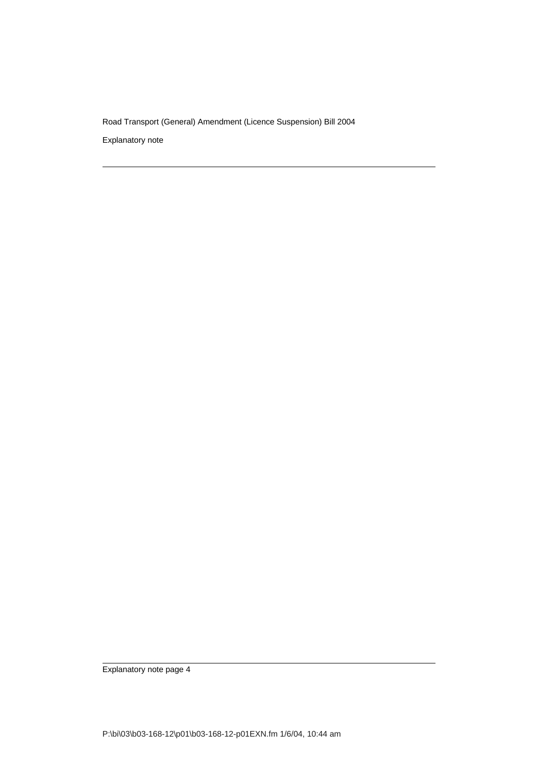Explanatory note

Explanatory note page 4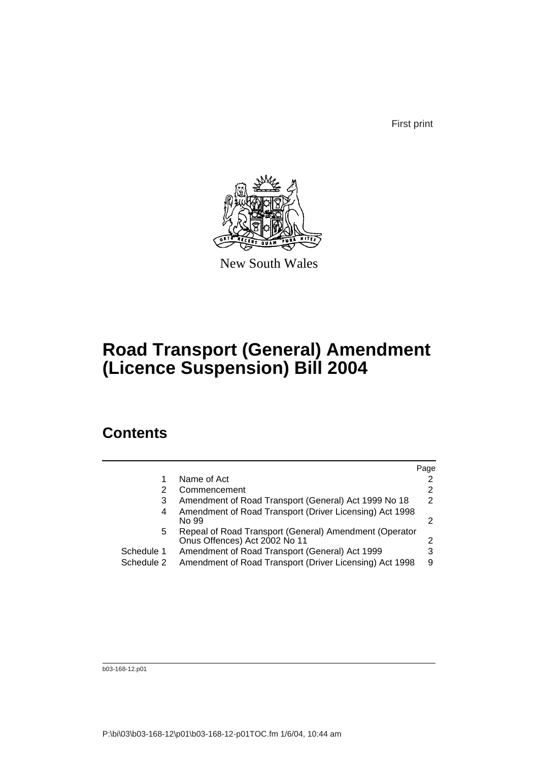First print



New South Wales

# **Road Transport (General) Amendment (Licence Suspension) Bill 2004**

## **Contents**

|            |                                                                                         | Page |
|------------|-----------------------------------------------------------------------------------------|------|
|            | Name of Act                                                                             |      |
|            | Commencement                                                                            | 2    |
| 3          | Amendment of Road Transport (General) Act 1999 No 18                                    | 2    |
| 4          | Amendment of Road Transport (Driver Licensing) Act 1998<br>No 99                        |      |
| 5.         | Repeal of Road Transport (General) Amendment (Operator<br>Onus Offences) Act 2002 No 11 | 2    |
| Schedule 1 | Amendment of Road Transport (General) Act 1999                                          |      |
| Schedule 2 | Amendment of Road Transport (Driver Licensing) Act 1998                                 | 9    |
|            |                                                                                         |      |

b03-168-12.p01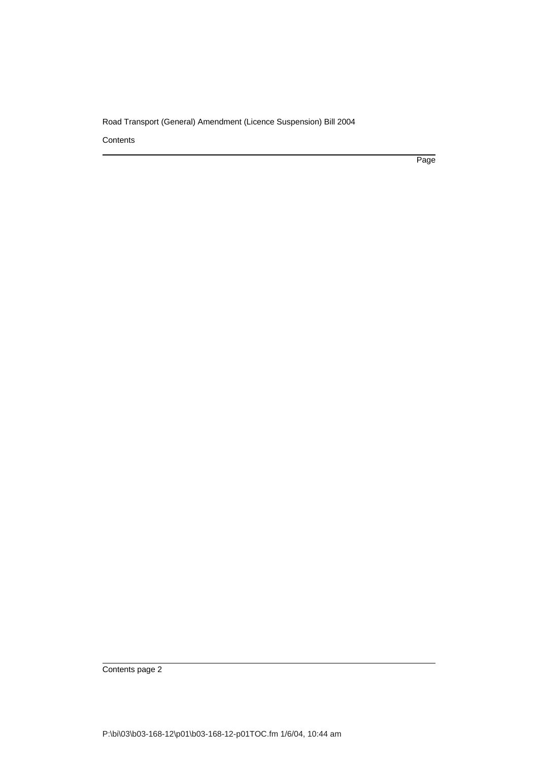**Contents** 

Page

Contents page 2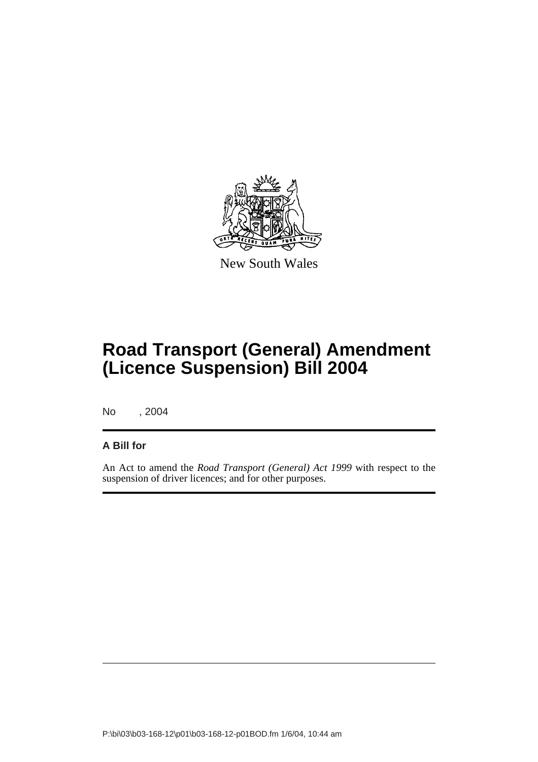

New South Wales

# **Road Transport (General) Amendment (Licence Suspension) Bill 2004**

No , 2004

### **A Bill for**

An Act to amend the *Road Transport (General) Act 1999* with respect to the suspension of driver licences; and for other purposes.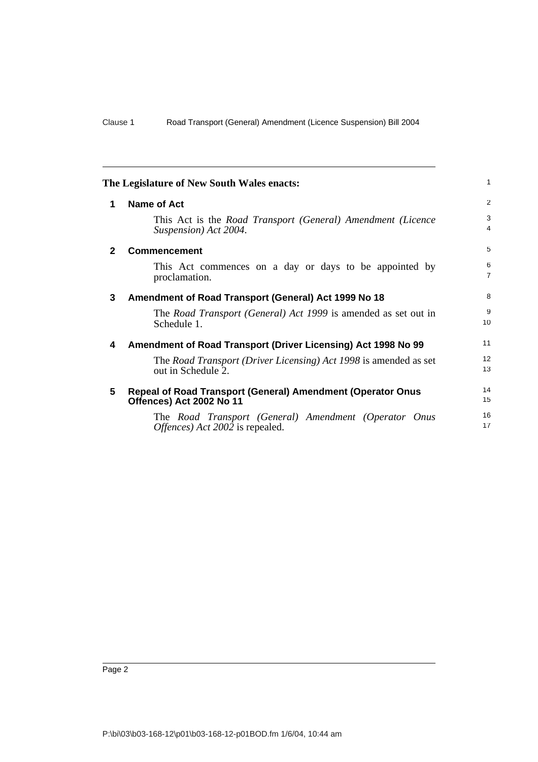<span id="page-7-4"></span><span id="page-7-3"></span><span id="page-7-2"></span><span id="page-7-1"></span><span id="page-7-0"></span>

|              | The Legislature of New South Wales enacts:                                                     | 1                    |  |
|--------------|------------------------------------------------------------------------------------------------|----------------------|--|
| 1            | Name of Act                                                                                    |                      |  |
|              | This Act is the Road Transport (General) Amendment (Licence<br>Suspension) Act 2004.           | 3<br>$\overline{4}$  |  |
| $\mathbf{2}$ | <b>Commencement</b>                                                                            | 5                    |  |
|              | This Act commences on a day or days to be appointed by<br>proclamation.                        | 6<br>$\overline{7}$  |  |
| 3            | Amendment of Road Transport (General) Act 1999 No 18                                           | 8                    |  |
|              | The Road Transport (General) Act 1999 is amended as set out in<br>Schedule 1.                  | 9<br>10 <sup>1</sup> |  |
| 4            | Amendment of Road Transport (Driver Licensing) Act 1998 No 99                                  | 11                   |  |
|              | The <i>Road Transport (Driver Licensing)</i> Act 1998 is amended as set<br>out in Schedule 2.  | 12<br>13             |  |
| 5            | <b>Repeal of Road Transport (General) Amendment (Operator Onus</b><br>Offences) Act 2002 No 11 | 14<br>15             |  |
|              | The Road Transport (General) Amendment (Operator Onus<br>Offences) Act 2002 is repealed.       | 16<br>17             |  |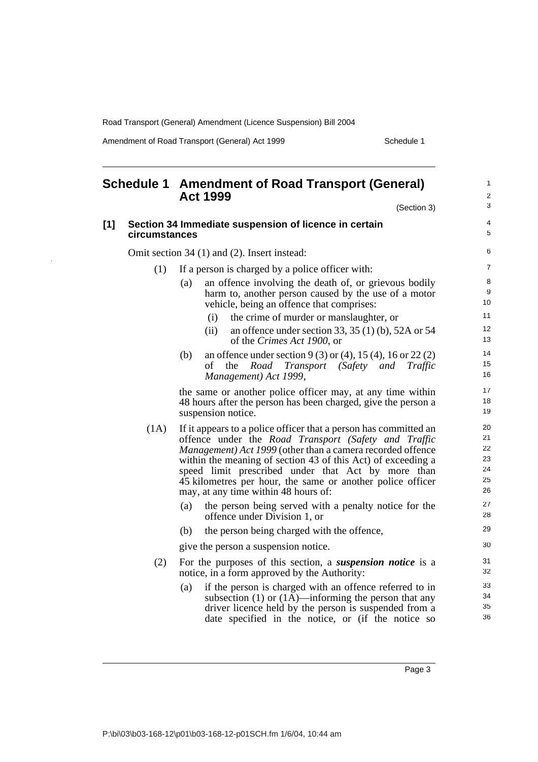Amendment of Road Transport (General) Act 1999 Schedule 1

<span id="page-8-0"></span>

|     |               | Schedule 1 Amendment of Road Transport (General)<br><b>Act 1999</b>                                                                                                                                                                                                                                                                                                                                                |                                        |  |  |
|-----|---------------|--------------------------------------------------------------------------------------------------------------------------------------------------------------------------------------------------------------------------------------------------------------------------------------------------------------------------------------------------------------------------------------------------------------------|----------------------------------------|--|--|
|     |               | (Section 3)                                                                                                                                                                                                                                                                                                                                                                                                        | 3                                      |  |  |
| [1] | circumstances | Section 34 Immediate suspension of licence in certain                                                                                                                                                                                                                                                                                                                                                              |                                        |  |  |
|     |               | Omit section 34 (1) and (2). Insert instead:                                                                                                                                                                                                                                                                                                                                                                       | 6                                      |  |  |
|     | (1)           | If a person is charged by a police officer with:                                                                                                                                                                                                                                                                                                                                                                   |                                        |  |  |
|     |               | an offence involving the death of, or grievous bodily<br>(a)<br>harm to, another person caused by the use of a motor<br>vehicle, being an offence that comprises:                                                                                                                                                                                                                                                  | 8<br>9<br>10                           |  |  |
|     |               | the crime of murder or manslaughter, or<br>(i)                                                                                                                                                                                                                                                                                                                                                                     | 11                                     |  |  |
|     |               | (ii)<br>an offence under section 33, 35 (1) (b), 52A or 54<br>of the Crimes Act 1900, or                                                                                                                                                                                                                                                                                                                           | 12<br>13                               |  |  |
|     |               | an offence under section 9 (3) or (4), 15 (4), 16 or 22 (2)<br>(b)<br>of<br>Road Transport (Safety and<br>the<br>Traffic<br>Management) Act 1999,                                                                                                                                                                                                                                                                  | 14<br>15<br>16                         |  |  |
|     |               | the same or another police officer may, at any time within<br>48 hours after the person has been charged, give the person a<br>suspension notice.                                                                                                                                                                                                                                                                  | 17<br>18<br>19                         |  |  |
|     | (1A)          | If it appears to a police officer that a person has committed an<br>offence under the Road Transport (Safety and Traffic<br>Management) Act 1999 (other than a camera recorded offence<br>within the meaning of section 43 of this Act) of exceeding a<br>speed limit prescribed under that Act by more than<br>45 kilometres per hour, the same or another police officer<br>may, at any time within 48 hours of: | 20<br>21<br>22<br>23<br>24<br>25<br>26 |  |  |
|     |               | the person being served with a penalty notice for the<br>(a)<br>offence under Division 1, or                                                                                                                                                                                                                                                                                                                       | 27<br>28                               |  |  |
|     |               | the person being charged with the offence,<br>(b)                                                                                                                                                                                                                                                                                                                                                                  | 29                                     |  |  |
|     |               | give the person a suspension notice.                                                                                                                                                                                                                                                                                                                                                                               | 30                                     |  |  |
|     | (2)           | For the purposes of this section, a <i>suspension notice</i> is a<br>notice, in a form approved by the Authority:                                                                                                                                                                                                                                                                                                  | 31<br>32                               |  |  |
|     |               | if the person is charged with an offence referred to in<br>(a)<br>subsection (1) or $(1A)$ —informing the person that any<br>driver licence held by the person is suspended from a<br>date specified in the notice, or (if the notice so                                                                                                                                                                           | 33<br>34<br>35<br>36                   |  |  |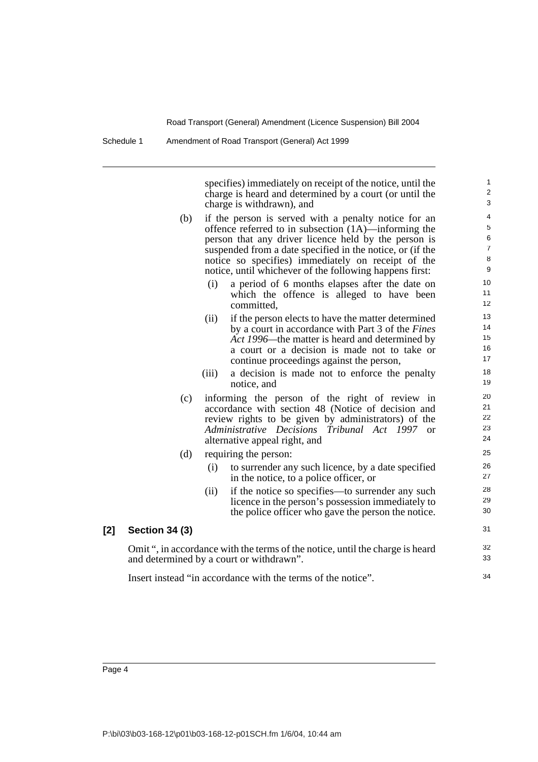Schedule 1 Amendment of Road Transport (General) Act 1999

specifies) immediately on receipt of the notice, until the charge is heard and determined by a court (or until the charge is withdrawn), and

- (b) if the person is served with a penalty notice for an offence referred to in subsection (1A)—informing the person that any driver licence held by the person is suspended from a date specified in the notice, or (if the notice so specifies) immediately on receipt of the notice, until whichever of the following happens first:
	- (i) a period of 6 months elapses after the date on which the offence is alleged to have been committed,
	- (ii) if the person elects to have the matter determined by a court in accordance with Part 3 of the *Fines Act 1996—*the matter is heard and determined by a court or a decision is made not to take or continue proceedings against the person,
	- (iii) a decision is made not to enforce the penalty notice, and
- (c) informing the person of the right of review in accordance with section 48 (Notice of decision and review rights to be given by administrators) of the *Administrative Decisions Tribunal Act 1997* or alternative appeal right, and
- (d) requiring the person: (i) to surrender any such licence, by a date specified in the notice, to a police officer, or
	- (ii) if the notice so specifies—to surrender any such licence in the person's possession immediately to the police officer who gave the person the notice.

#### **[2] Section 34 (3)**

Omit ", in accordance with the terms of the notice, until the charge is heard and determined by a court or withdrawn".

Insert instead "in accordance with the terms of the notice".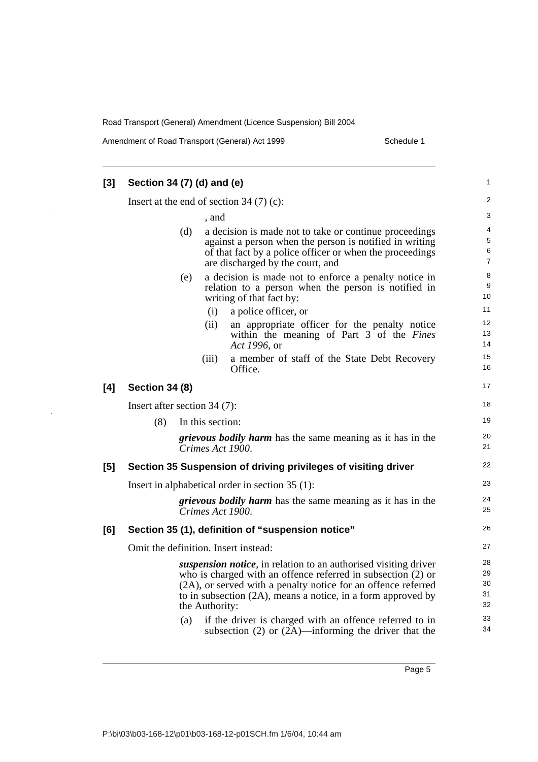Amendment of Road Transport (General) Act 1999 Schedule 1

| $[3]$ | Section 34 (7) (d) and (e)                                                                                                                                                                                                                                                                                                                                |                  |                                                                                                                                                                                                                   |                                                                                                                                          |                |  |
|-------|-----------------------------------------------------------------------------------------------------------------------------------------------------------------------------------------------------------------------------------------------------------------------------------------------------------------------------------------------------------|------------------|-------------------------------------------------------------------------------------------------------------------------------------------------------------------------------------------------------------------|------------------------------------------------------------------------------------------------------------------------------------------|----------------|--|
|       | Insert at the end of section $34(7)(c)$ :                                                                                                                                                                                                                                                                                                                 |                  |                                                                                                                                                                                                                   |                                                                                                                                          |                |  |
|       | , and                                                                                                                                                                                                                                                                                                                                                     |                  |                                                                                                                                                                                                                   |                                                                                                                                          |                |  |
|       |                                                                                                                                                                                                                                                                                                                                                           | (d)              | a decision is made not to take or continue proceedings<br>against a person when the person is notified in writing<br>of that fact by a police officer or when the proceedings<br>are discharged by the court, and |                                                                                                                                          |                |  |
|       |                                                                                                                                                                                                                                                                                                                                                           | (e)              |                                                                                                                                                                                                                   | a decision is made not to enforce a penalty notice in<br>relation to a person when the person is notified in<br>writing of that fact by: | 8<br>9<br>10   |  |
|       |                                                                                                                                                                                                                                                                                                                                                           |                  | (i)                                                                                                                                                                                                               | a police officer, or                                                                                                                     | 11             |  |
|       |                                                                                                                                                                                                                                                                                                                                                           |                  | (ii)                                                                                                                                                                                                              | an appropriate officer for the penalty notice<br>within the meaning of Part 3 of the Fines<br>Act 1996, or                               | 12<br>13<br>14 |  |
|       |                                                                                                                                                                                                                                                                                                                                                           |                  | (iii)                                                                                                                                                                                                             | a member of staff of the State Debt Recovery<br>Office.                                                                                  | 15<br>16       |  |
| [4]   | <b>Section 34 (8)</b>                                                                                                                                                                                                                                                                                                                                     |                  |                                                                                                                                                                                                                   |                                                                                                                                          | 17             |  |
|       | Insert after section 34 (7):                                                                                                                                                                                                                                                                                                                              |                  |                                                                                                                                                                                                                   |                                                                                                                                          | 18             |  |
|       | (8)                                                                                                                                                                                                                                                                                                                                                       | In this section: |                                                                                                                                                                                                                   |                                                                                                                                          | 19             |  |
|       | grievous bodily harm has the same meaning as it has in the<br>Crimes Act 1900.                                                                                                                                                                                                                                                                            |                  |                                                                                                                                                                                                                   |                                                                                                                                          | 20<br>21       |  |
| [5]   |                                                                                                                                                                                                                                                                                                                                                           |                  |                                                                                                                                                                                                                   | Section 35 Suspension of driving privileges of visiting driver                                                                           | 22             |  |
|       | Insert in alphabetical order in section 35 (1):                                                                                                                                                                                                                                                                                                           |                  |                                                                                                                                                                                                                   |                                                                                                                                          | 23             |  |
|       |                                                                                                                                                                                                                                                                                                                                                           |                  |                                                                                                                                                                                                                   | <i>grievous bodily harm</i> has the same meaning as it has in the<br>Crimes Act 1900.                                                    | 24<br>25       |  |
| [6]   |                                                                                                                                                                                                                                                                                                                                                           |                  |                                                                                                                                                                                                                   | Section 35 (1), definition of "suspension notice"                                                                                        | 26             |  |
|       | Omit the definition. Insert instead:                                                                                                                                                                                                                                                                                                                      |                  |                                                                                                                                                                                                                   |                                                                                                                                          |                |  |
|       | suspension notice, in relation to an authorised visiting driver<br>who is charged with an offence referred in subsection $(2)$ or<br>(2A), or served with a penalty notice for an offence referred<br>to in subsection $(2A)$ , means a notice, in a form approved by<br>the Authority:<br>if the driver is charged with an offence referred to in<br>(a) |                  |                                                                                                                                                                                                                   | 28<br>29<br>30<br>31<br>32<br>33                                                                                                         |                |  |
|       |                                                                                                                                                                                                                                                                                                                                                           |                  |                                                                                                                                                                                                                   | subsection (2) or $(2A)$ —informing the driver that the                                                                                  | 34             |  |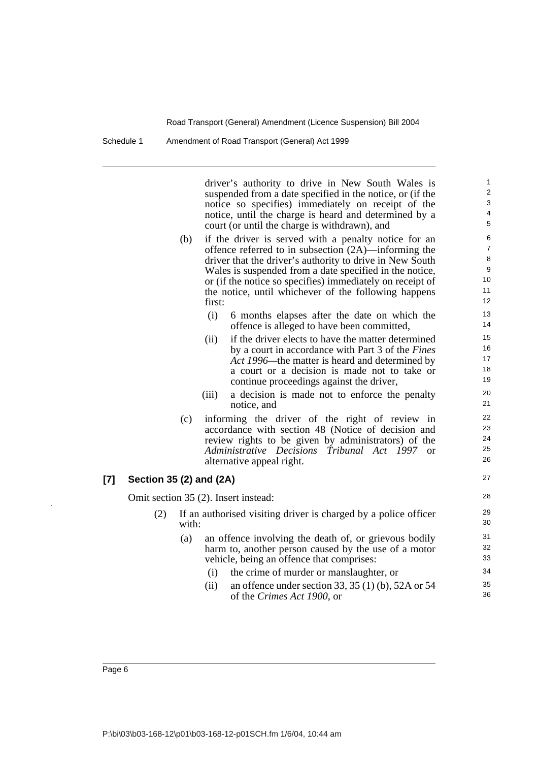Schedule 1 Amendment of Road Transport (General) Act 1999

driver's authority to drive in New South Wales is suspended from a date specified in the notice, or (if the notice so specifies) immediately on receipt of the notice, until the charge is heard and determined by a court (or until the charge is withdrawn), and

- (b) if the driver is served with a penalty notice for an offence referred to in subsection (2A)—informing the driver that the driver's authority to drive in New South Wales is suspended from a date specified in the notice, or (if the notice so specifies) immediately on receipt of the notice, until whichever of the following happens first:
	- (i) 6 months elapses after the date on which the offence is alleged to have been committed,
	- (ii) if the driver elects to have the matter determined by a court in accordance with Part 3 of the *Fines Act 1996—*the matter is heard and determined by a court or a decision is made not to take or continue proceedings against the driver,
	- (iii) a decision is made not to enforce the penalty notice, and
- (c) informing the driver of the right of review in accordance with section 48 (Notice of decision and review rights to be given by administrators) of the *Administrative Decisions Tribunal Act 1997* or alternative appeal right.

#### **[7] Section 35 (2) and (2A)**

Omit section 35 (2). Insert instead:

- (2) If an authorised visiting driver is charged by a police officer with:
	- (a) an offence involving the death of, or grievous bodily harm to, another person caused by the use of a motor vehicle, being an offence that comprises:
		- (i) the crime of murder or manslaughter, or
		- (ii) an offence under section 33, 35 (1) (b), 52A or 54 of the *Crimes Act 1900*, or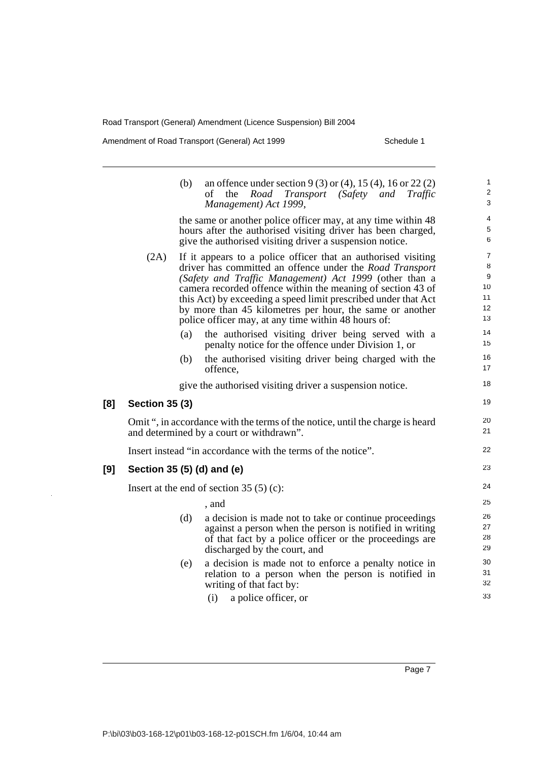Amendment of Road Transport (General) Act 1999 Schedule 1

|      |                                                                                                                           | (b)                                                                                                                                                                                                                                                                                                                                                                                                                                     | an offence under section 9 (3) or (4), 15 (4), 16 or 22 (2)<br>of the<br>Road Transport (Safety and<br>Traffic<br>Management) Act 1999,                                                                      | 1<br>$\overline{\mathbf{c}}$<br>3 |  |
|------|---------------------------------------------------------------------------------------------------------------------------|-----------------------------------------------------------------------------------------------------------------------------------------------------------------------------------------------------------------------------------------------------------------------------------------------------------------------------------------------------------------------------------------------------------------------------------------|--------------------------------------------------------------------------------------------------------------------------------------------------------------------------------------------------------------|-----------------------------------|--|
|      |                                                                                                                           |                                                                                                                                                                                                                                                                                                                                                                                                                                         | the same or another police officer may, at any time within 48<br>hours after the authorised visiting driver has been charged,<br>give the authorised visiting driver a suspension notice.                    | 4<br>5<br>6                       |  |
| (2A) |                                                                                                                           | If it appears to a police officer that an authorised visiting<br>driver has committed an offence under the Road Transport<br>(Safety and Traffic Management) Act 1999 (other than a<br>camera recorded offence within the meaning of section 43 of<br>this Act) by exceeding a speed limit prescribed under that Act<br>by more than 45 kilometres per hour, the same or another<br>police officer may, at any time within 48 hours of: |                                                                                                                                                                                                              |                                   |  |
|      |                                                                                                                           | (a)                                                                                                                                                                                                                                                                                                                                                                                                                                     | the authorised visiting driver being served with a<br>penalty notice for the offence under Division 1, or                                                                                                    | 14<br>15                          |  |
|      |                                                                                                                           | (b)                                                                                                                                                                                                                                                                                                                                                                                                                                     | the authorised visiting driver being charged with the<br>offence.                                                                                                                                            | 16<br>17                          |  |
|      |                                                                                                                           |                                                                                                                                                                                                                                                                                                                                                                                                                                         | give the authorised visiting driver a suspension notice.                                                                                                                                                     | 18                                |  |
| [8]  | <b>Section 35 (3)</b>                                                                                                     |                                                                                                                                                                                                                                                                                                                                                                                                                                         |                                                                                                                                                                                                              | 19                                |  |
|      | Omit ", in accordance with the terms of the notice, until the charge is heard<br>and determined by a court or withdrawn". |                                                                                                                                                                                                                                                                                                                                                                                                                                         |                                                                                                                                                                                                              |                                   |  |
|      | Insert instead "in accordance with the terms of the notice".                                                              |                                                                                                                                                                                                                                                                                                                                                                                                                                         |                                                                                                                                                                                                              |                                   |  |
| [9]  | Section 35 (5) (d) and (e)                                                                                                |                                                                                                                                                                                                                                                                                                                                                                                                                                         |                                                                                                                                                                                                              |                                   |  |
|      | Insert at the end of section $35(5)(c)$ :                                                                                 |                                                                                                                                                                                                                                                                                                                                                                                                                                         |                                                                                                                                                                                                              |                                   |  |
|      |                                                                                                                           |                                                                                                                                                                                                                                                                                                                                                                                                                                         | , and                                                                                                                                                                                                        | 25                                |  |
|      |                                                                                                                           | (d)                                                                                                                                                                                                                                                                                                                                                                                                                                     | a decision is made not to take or continue proceedings<br>against a person when the person is notified in writing<br>of that fact by a police officer or the proceedings are<br>discharged by the court, and | 26<br>27<br>28<br>29              |  |
|      |                                                                                                                           | (e)                                                                                                                                                                                                                                                                                                                                                                                                                                     | a decision is made not to enforce a penalty notice in<br>relation to a person when the person is notified in<br>writing of that fact by:                                                                     | 30<br>31<br>32                    |  |
|      |                                                                                                                           |                                                                                                                                                                                                                                                                                                                                                                                                                                         | (i)<br>a police officer, or                                                                                                                                                                                  | 33                                |  |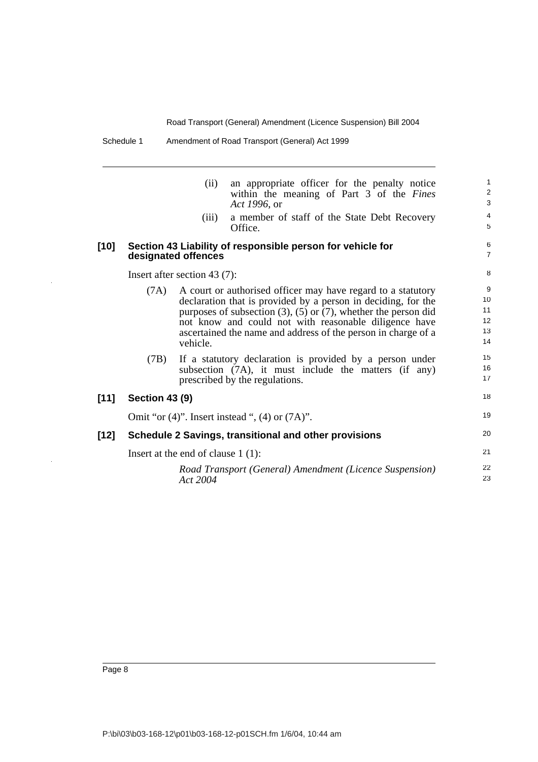Schedule 1 Amendment of Road Transport (General) Act 1999

|        |                                                       | (ii)                                 | an appropriate officer for the penalty notice<br>within the meaning of Part 3 of the Fines<br>Act 1996, or                                                                                                                                                                                                                        | $\mathbf{1}$<br>2<br>3          |
|--------|-------------------------------------------------------|--------------------------------------|-----------------------------------------------------------------------------------------------------------------------------------------------------------------------------------------------------------------------------------------------------------------------------------------------------------------------------------|---------------------------------|
|        |                                                       | (iii)                                | a member of staff of the State Debt Recovery<br>Office.                                                                                                                                                                                                                                                                           | $\overline{4}$<br>5             |
| [10]   |                                                       | designated offences                  | Section 43 Liability of responsible person for vehicle for                                                                                                                                                                                                                                                                        | 6<br>$\overline{7}$             |
|        |                                                       | Insert after section 43 (7):         |                                                                                                                                                                                                                                                                                                                                   | 8                               |
|        | (7A)                                                  | vehicle.                             | A court or authorised officer may have regard to a statutory<br>declaration that is provided by a person in deciding, for the<br>purposes of subsection $(3)$ , $(5)$ or $(7)$ , whether the person did<br>not know and could not with reasonable diligence have<br>ascertained the name and address of the person in charge of a | 9<br>10<br>11<br>12<br>13<br>14 |
|        | (7B)                                                  |                                      | If a statutory declaration is provided by a person under<br>subsection (7A), it must include the matters (if any)<br>prescribed by the regulations.                                                                                                                                                                               | 15<br>16<br>17                  |
| $[11]$ | <b>Section 43 (9)</b>                                 |                                      |                                                                                                                                                                                                                                                                                                                                   | 18                              |
|        |                                                       |                                      | Omit "or $(4)$ ". Insert instead ", $(4)$ or $(7A)$ ".                                                                                                                                                                                                                                                                            | 19                              |
| [12]   | Schedule 2 Savings, transitional and other provisions |                                      |                                                                                                                                                                                                                                                                                                                                   |                                 |
|        |                                                       | Insert at the end of clause $1(1)$ : |                                                                                                                                                                                                                                                                                                                                   | 21                              |
|        |                                                       | Act 2004                             | Road Transport (General) Amendment (Licence Suspension)                                                                                                                                                                                                                                                                           | 22<br>23                        |

 $\hat{\mathcal{F}}$ 

 $\frac{1}{2}$